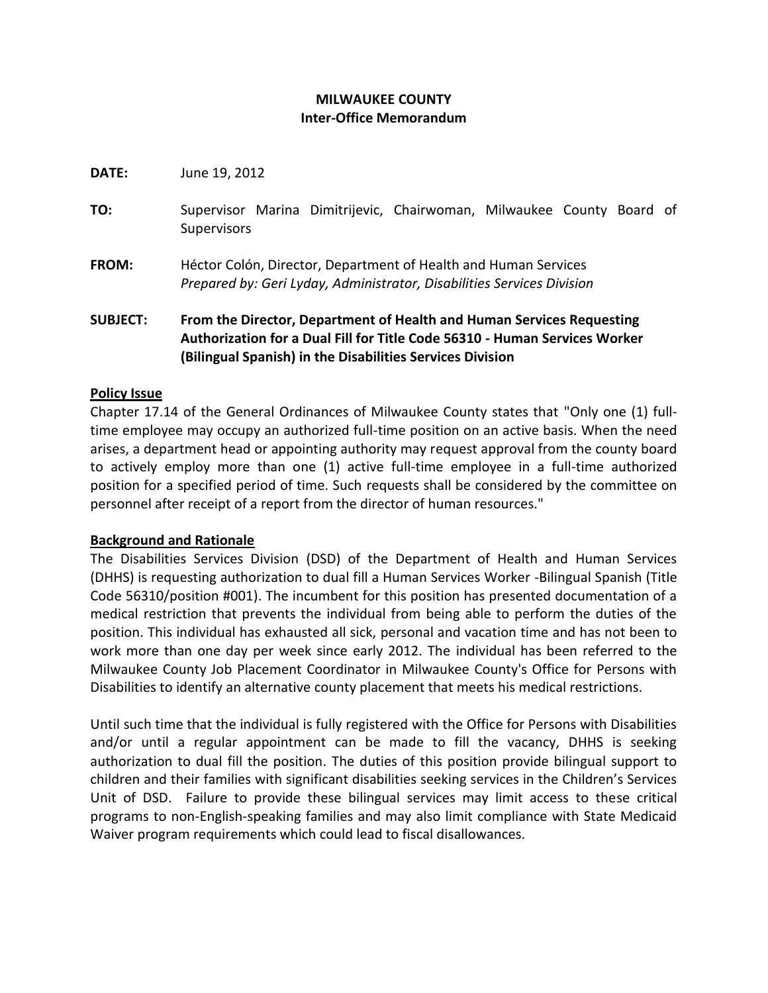# **MILWAUKEE COUNTY Inter-Office Memorandum**

**DATE:** June 19, 2012

- **TO:** Supervisor Marina Dimitrijevic, Chairwoman, Milwaukee County Board of Supervisors
- **FROM:** Héctor Colón, Director, Department of Health and Human Services *Prepared by: Geri Lyday, Administrator, Disabilities Services Division*

**SUBJECT: From the Director, Department of Health and Human Services Requesting Authorization for a Dual Fill for Title Code 56310 - Human Services Worker (Bilingual Spanish) in the Disabilities Services Division**

### **Policy Issue**

Chapter 17.14 of the General Ordinances of Milwaukee County states that "Only one (1) fulltime employee may occupy an authorized full-time position on an active basis. When the need arises, a department head or appointing authority may request approval from the county board to actively employ more than one (1) active full-time employee in a full-time authorized position for a specified period of time. Such requests shall be considered by the committee on personnel after receipt of a report from the director of human resources."

## **Background and Rationale**

The Disabilities Services Division (DSD) of the Department of Health and Human Services (DHHS) is requesting authorization to dual fill a Human Services Worker -Bilingual Spanish (Title Code 56310/position #001). The incumbent for this position has presented documentation of a medical restriction that prevents the individual from being able to perform the duties of the position. This individual has exhausted all sick, personal and vacation time and has not been to work more than one day per week since early 2012. The individual has been referred to the Milwaukee County Job Placement Coordinator in Milwaukee County's Office for Persons with Disabilities to identify an alternative county placement that meets his medical restrictions.

Until such time that the individual is fully registered with the Office for Persons with Disabilities and/or until a regular appointment can be made to fill the vacancy, DHHS is seeking authorization to dual fill the position. The duties of this position provide bilingual support to children and their families with significant disabilities seeking services in the Children's Services Unit of DSD. Failure to provide these bilingual services may limit access to these critical programs to non-English-speaking families and may also limit compliance with State Medicaid Waiver program requirements which could lead to fiscal disallowances.